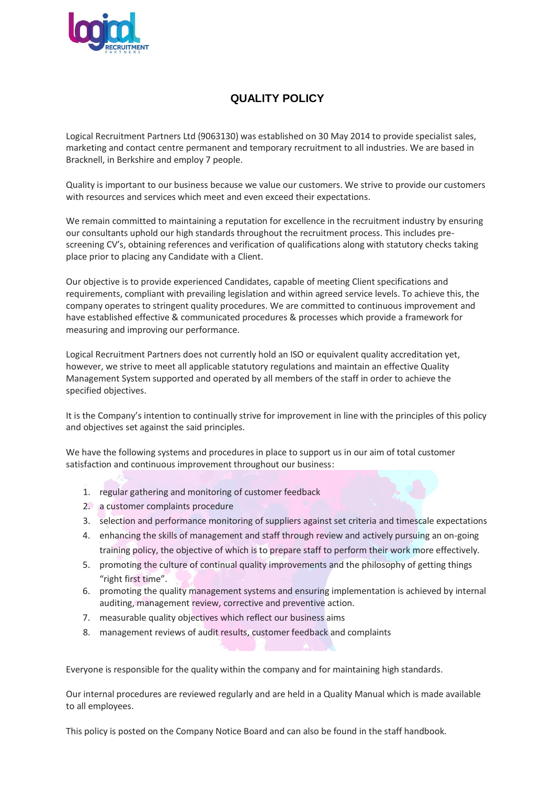

## **QUALITY POLICY**

Logical Recruitment Partners Ltd (9063130) was established on 30 May 2014 to provide specialist sales, marketing and contact centre permanent and temporary recruitment to all industries. We are based in Bracknell, in Berkshire and employ 7 people.

Quality is important to our business because we value our customers. We strive to provide our customers with resources and services which meet and even exceed their expectations.

We remain committed to maintaining a reputation for excellence in the recruitment industry by ensuring our consultants uphold our high standards throughout the recruitment process. This includes prescreening CV's, obtaining references and verification of qualifications along with statutory checks taking place prior to placing any Candidate with a Client.

Our objective is to provide experienced Candidates, capable of meeting Client specifications and requirements, compliant with prevailing legislation and within agreed service levels. To achieve this, the company operates to stringent quality procedures. We are committed to continuous improvement and have established effective & communicated procedures & processes which provide a framework for measuring and improving our performance.

Logical Recruitment Partners does not currently hold an ISO or equivalent quality accreditation yet, however, we strive to meet all applicable statutory regulations and maintain an effective Quality Management System supported and operated by all members of the staff in order to achieve the specified objectives.

It is the Company's intention to continually strive for improvement in line with the principles of this policy and objectives set against the said principles.

We have the following systems and procedures in place to support us in our aim of total customer satisfaction and continuous improvement throughout our business:

- 1. regular gathering and monitoring of customer feedback
- 2. a customer complaints procedure
- 3. selection and performance monitoring of suppliers against set criteria and timescale expectations
- 4. enhancing the skills of management and staff through review and actively pursuing an on-going training policy, the objective of which is to prepare staff to perform their work more effectively.
- 5. promoting the culture of continual quality improvements and the philosophy of getting things "right first time".
- 6. promoting the quality management systems and ensuring implementation is achieved by internal auditing, management review, corrective and preventive action.
- 7. measurable quality objectives which reflect our business aims
- 8. management reviews of audit results, customer feedback and complaints

Everyone is responsible for the quality within the company and for maintaining high standards.

Our internal procedures are reviewed regularly and are held in a Quality Manual which is made available to all employees.

This policy is posted on the Company Notice Board and can also be found in the staff handbook.